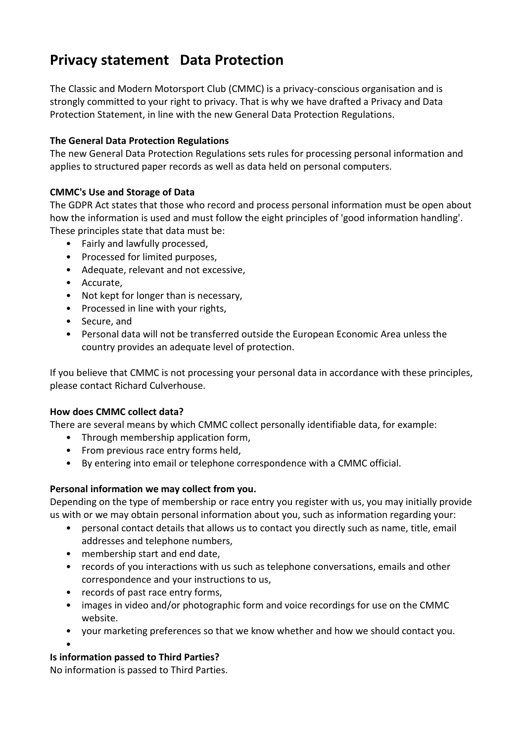# **Privacy statement Data Protection**

The Classic and Modern Motorsport Club (CMMC) is a privacy-conscious organisation and is strongly committed to your right to privacy. That is why we have drafted a Privacy and Data Protection Statement, in line with the new General Data Protection Regulations.

### **The General Data Protection Regulations**

The new General Data Protection Regulations sets rules for processing personal information and applies to structured paper records as well as data held on personal computers.

## **CMMC's Use and Storage of Data**

The GDPR Act states that those who record and process personal information must be open about how the information is used and must follow the eight principles of 'good information handling'. These principles state that data must be:

- Fairly and lawfully processed,
- Processed for limited purposes,
- Adequate, relevant and not excessive,
- Accurate,
- Not kept for longer than is necessary,
- Processed in line with your rights,
- Secure, and
- Personal data will not be transferred outside the European Economic Area unless the country provides an adequate level of protection.

If you believe that CMMC is not processing your personal data in accordance with these principles, please contact Richard Culverhouse.

#### **How does CMMC collect data?**

There are several means by which CMMC collect personally identifiable data, for example:

- Through membership application form,
- From previous race entry forms held,
- By entering into email or telephone correspondence with a CMMC official.

#### **Personal information we may collect from you.**

Depending on the type of membership or race entry you register with us, you may initially provide us with or we may obtain personal information about you, such as information regarding your:

- personal contact details that allows us to contact you directly such as name, title, email addresses and telephone numbers,
- membership start and end date,
- records of you interactions with us such as telephone conversations, emails and other correspondence and your instructions to us,
- records of past race entry forms,
- images in video and/or photographic form and voice recordings for use on the CMMC website.
- your marketing preferences so that we know whether and how we should contact you.
- •

## **Is information passed to Third Parties?**

No information is passed to Third Parties.